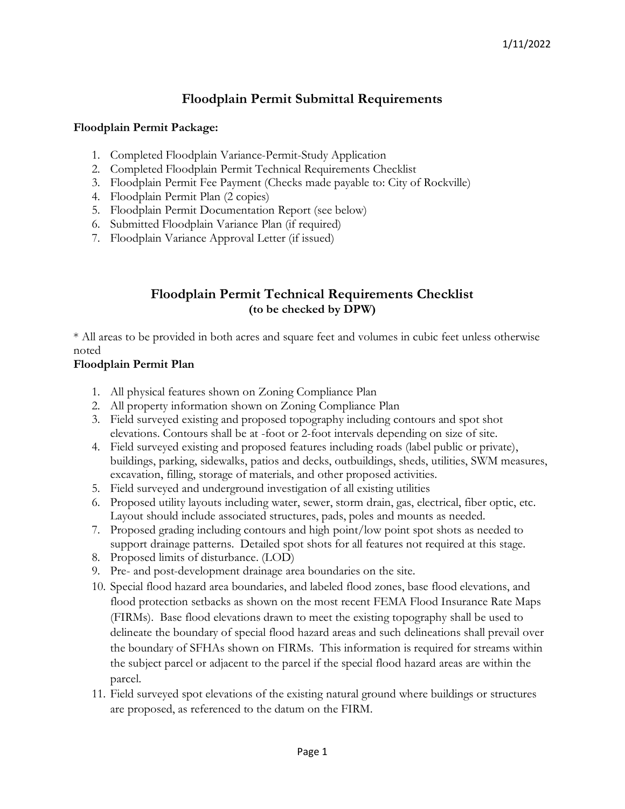# **Floodplain Permit Submittal Requirements**

#### **Floodplain Permit Package:**

- 1. Completed Floodplain Variance-Permit-Study Application
- 2. Completed Floodplain Permit Technical Requirements Checklist
- 3. Floodplain Permit Fee Payment (Checks made payable to: City of Rockville)
- 4. Floodplain Permit Plan (2 copies)
- 5. Floodplain Permit Documentation Report (see below)
- 6. Submitted Floodplain Variance Plan (if required)
- 7. Floodplain Variance Approval Letter (if issued)

## **Floodplain Permit Technical Requirements Checklist (to be checked by DPW)**

\* All areas to be provided in both acres and square feet and volumes in cubic feet unless otherwise noted

### **Floodplain Permit Plan**

- 1. All physical features shown on Zoning Compliance Plan
- 2. All property information shown on Zoning Compliance Plan
- 3. Field surveyed existing and proposed topography including contours and spot shot elevations. Contours shall be at -foot or 2-foot intervals depending on size of site.
- 4. Field surveyed existing and proposed features including roads (label public or private), buildings, parking, sidewalks, patios and decks, outbuildings, sheds, utilities, SWM measures, excavation, filling, storage of materials, and other proposed activities.
- 5. Field surveyed and underground investigation of all existing utilities
- 6. Proposed utility layouts including water, sewer, storm drain, gas, electrical, fiber optic, etc. Layout should include associated structures, pads, poles and mounts as needed.
- 7. Proposed grading including contours and high point/low point spot shots as needed to support drainage patterns. Detailed spot shots for all features not required at this stage.
- 8. Proposed limits of disturbance. (LOD)
- 9. Pre- and post-development drainage area boundaries on the site.
- 10. Special flood hazard area boundaries, and labeled flood zones, base flood elevations, and flood protection setbacks as shown on the most recent FEMA Flood Insurance Rate Maps (FIRMs). Base flood elevations drawn to meet the existing topography shall be used to delineate the boundary of special flood hazard areas and such delineations shall prevail over the boundary of SFHAs shown on FIRMs. This information is required for streams within the subject parcel or adjacent to the parcel if the special flood hazard areas are within the parcel.
- 11. Field surveyed spot elevations of the existing natural ground where buildings or structures are proposed, as referenced to the datum on the FIRM.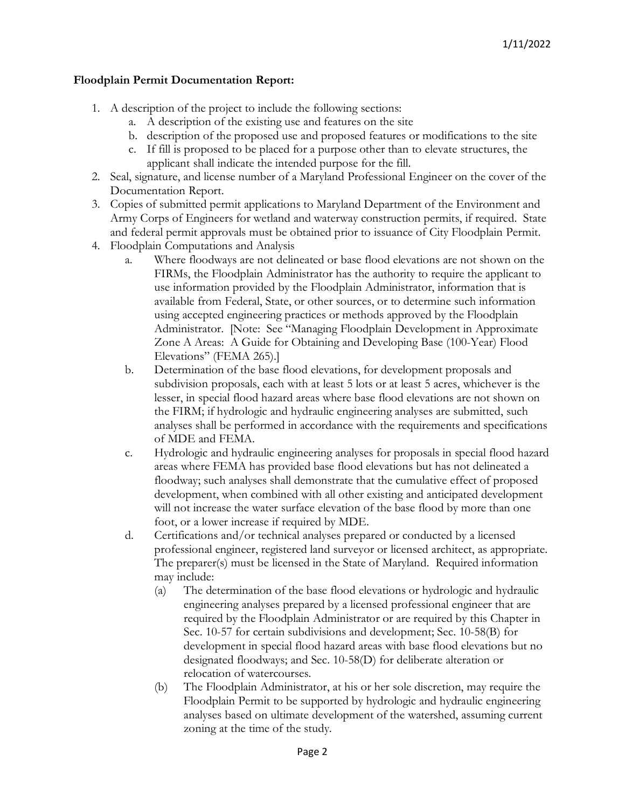### **Floodplain Permit Documentation Report:**

- 1. A description of the project to include the following sections:
	- a. A description of the existing use and features on the site
	- b. description of the proposed use and proposed features or modifications to the site
	- c. If fill is proposed to be placed for a purpose other than to elevate structures, the applicant shall indicate the intended purpose for the fill.
- 2. Seal, signature, and license number of a Maryland Professional Engineer on the cover of the Documentation Report.
- 3. Copies of submitted permit applications to Maryland Department of the Environment and Army Corps of Engineers for wetland and waterway construction permits, if required. State and federal permit approvals must be obtained prior to issuance of City Floodplain Permit.
- 4. Floodplain Computations and Analysis
	- a. Where floodways are not delineated or base flood elevations are not shown on the FIRMs, the Floodplain Administrator has the authority to require the applicant to use information provided by the Floodplain Administrator, information that is available from Federal, State, or other sources, or to determine such information using accepted engineering practices or methods approved by the Floodplain Administrator. [Note: See "Managing Floodplain Development in Approximate Zone A Areas: A Guide for Obtaining and Developing Base (100-Year) Flood Elevations" (FEMA 265).]
	- b. Determination of the base flood elevations, for development proposals and subdivision proposals, each with at least 5 lots or at least 5 acres, whichever is the lesser, in special flood hazard areas where base flood elevations are not shown on the FIRM; if hydrologic and hydraulic engineering analyses are submitted, such analyses shall be performed in accordance with the requirements and specifications of MDE and FEMA.
	- c. Hydrologic and hydraulic engineering analyses for proposals in special flood hazard areas where FEMA has provided base flood elevations but has not delineated a floodway; such analyses shall demonstrate that the cumulative effect of proposed development, when combined with all other existing and anticipated development will not increase the water surface elevation of the base flood by more than one foot, or a lower increase if required by MDE.
	- d. Certifications and/or technical analyses prepared or conducted by a licensed professional engineer, registered land surveyor or licensed architect, as appropriate. The preparer(s) must be licensed in the State of Maryland. Required information may include:
		- (a) The determination of the base flood elevations or hydrologic and hydraulic engineering analyses prepared by a licensed professional engineer that are required by the Floodplain Administrator or are required by this Chapter in Sec. 10-57 for certain subdivisions and development; Sec. 10-58(B) for development in special flood hazard areas with base flood elevations but no designated floodways; and Sec. 10-58(D) for deliberate alteration or relocation of watercourses.
		- (b) The Floodplain Administrator, at his or her sole discretion, may require the Floodplain Permit to be supported by hydrologic and hydraulic engineering analyses based on ultimate development of the watershed, assuming current zoning at the time of the study.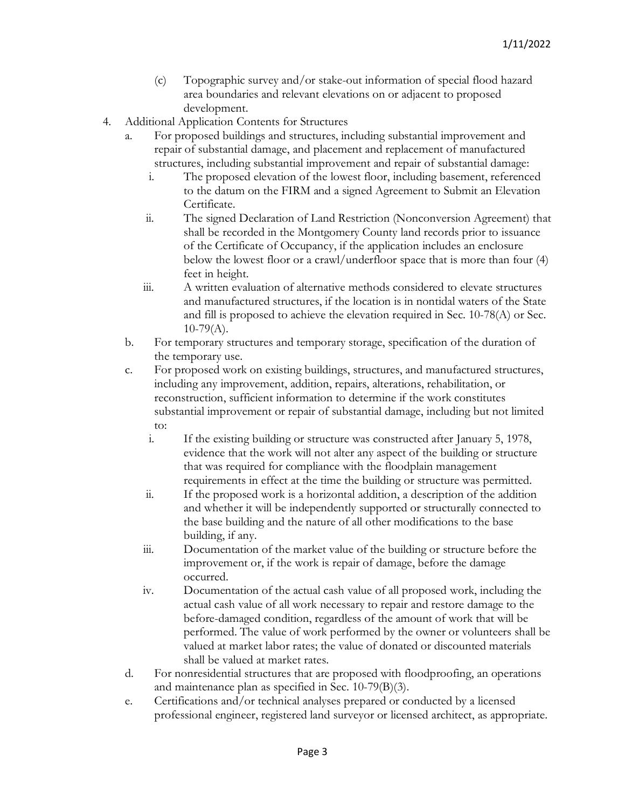- (c) Topographic survey and/or stake-out information of special flood hazard area boundaries and relevant elevations on or adjacent to proposed development.
- 4. Additional Application Contents for Structures
	- a. For proposed buildings and structures, including substantial improvement and repair of substantial damage, and placement and replacement of manufactured structures, including substantial improvement and repair of substantial damage:
		- i. The proposed elevation of the lowest floor, including basement, referenced to the datum on the FIRM and a signed Agreement to Submit an Elevation Certificate.
		- ii. The signed Declaration of Land Restriction (Nonconversion Agreement) that shall be recorded in the Montgomery County land records prior to issuance of the Certificate of Occupancy, if the application includes an enclosure below the lowest floor or a crawl/underfloor space that is more than four (4) feet in height.
		- iii. A written evaluation of alternative methods considered to elevate structures and manufactured structures, if the location is in nontidal waters of the State and fill is proposed to achieve the elevation required in Sec. 10-78(A) or Sec.  $10-79(A)$ .
	- b. For temporary structures and temporary storage, specification of the duration of the temporary use.
	- c. For proposed work on existing buildings, structures, and manufactured structures, including any improvement, addition, repairs, alterations, rehabilitation, or reconstruction, sufficient information to determine if the work constitutes substantial improvement or repair of substantial damage, including but not limited to:
		- i. If the existing building or structure was constructed after January 5, 1978, evidence that the work will not alter any aspect of the building or structure that was required for compliance with the floodplain management requirements in effect at the time the building or structure was permitted.
		- ii. If the proposed work is a horizontal addition, a description of the addition and whether it will be independently supported or structurally connected to the base building and the nature of all other modifications to the base building, if any.
		- iii. Documentation of the market value of the building or structure before the improvement or, if the work is repair of damage, before the damage occurred.
		- iv. Documentation of the actual cash value of all proposed work, including the actual cash value of all work necessary to repair and restore damage to the before-damaged condition, regardless of the amount of work that will be performed. The value of work performed by the owner or volunteers shall be valued at market labor rates; the value of donated or discounted materials shall be valued at market rates.
	- d. For nonresidential structures that are proposed with floodproofing, an operations and maintenance plan as specified in Sec. 10-79(B)(3).
	- e. Certifications and/or technical analyses prepared or conducted by a licensed professional engineer, registered land surveyor or licensed architect, as appropriate.